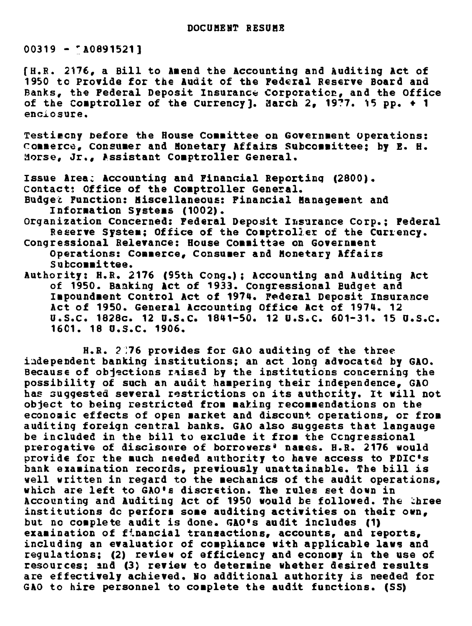$00319 - A0891521$ 

[H.R. 2176, a Bill to Amend the Accounting and Auditing Act of 1950 to Provide for the Audit of the Federal Reserve Board and Banks, the Federal Deposit Insurance Corporation, and the Office of the Comptroller of the Currency]. March 2, 1977. 15 pp. + 1 enclosure.

Testiecny before the House Committee on Government Operations: Commerce, Consumer and Monetary Affairs Subcommittee; by E. H. Morse, Jr., Assistant Comptroller General.

Issue Area: Accounting and Financial Reportinq (2800). Contact: Office of the Comptroller General.

Budget Function: Miscellaneous: Financial Management and Information Systems (1002).

Organization Concerned: Federal Deposit Insurance Corp.; Federal Reserve System; Office of the Comptroller of the Currency.

Congressional Relevance: House Committae on Government Operations: Commerce, Consumer and Honetary Affairs Subcommittee.

Authority: H.R. 2176 (95th Cong.); Accounting and Auditing Act of 1950. Banking Act of 1933. Congressional Budget and Impoundment Control Act of 1974. Federal Deposit Insurance Act of 1950. General Accounting Office Act of 1974. 12 U.S.C. 1828c. 12 U.S.C. 1841-50. 12 U.S.C. 601-31. 15 U.S.C. 1601. 18 U.S.C. 1906.

H.R. 2:76 provides for GAO auditing of the three independent banking institutions; an act long advocated by GAO. Because of objections raised by the institutions concerning the possibility of such an audit hampering their independence, GAO has suggested several restrictions on its authority. It will not object to being restricted from making recommendations on the economic effects of open market and discount operations, or from auditing foreign central banks. GAO also suggests that langauge be included in the bill to exclude it from the Congressional prerogative of discisoure of borrowers' names. H.R. 2176 would provide for the uch needed authority to have access to FDIC's bank examination records, previously unattainable. The bill is well written in regard to the mechanics of the audit operations, which are left to GAO's discretion. The rules set down in Accounting and Auditing Act of 1950 would be followed. The three institutions do perform some auditing activities on their own, but no complete audit is done. GAO's audit includes (1) examination of financial transactions, accounts, and reports, including an evaluatior of compliance with applicable laws and regulations; (2) review of efficiency and economy in the use of resources; and (3) review to determine whether desired results are effectively achieved. No additional authority is needed for GAO to hire personnel to complete the audit functions. (SS)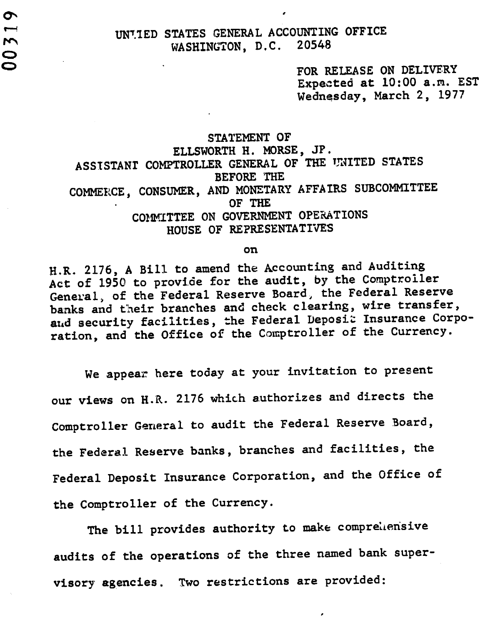$\sigma$ 

FOR RELEASE ON DELIVERY Expected at 10:00 a.m. EST Wednesday, March 2, 1977

## STATEMENT OF ELLSWORTH H. MORSE, JP. ASSISTANT COMPTROLLER GENERAL OF THE UNITED STATES BEFORE THE COMMERCE, CONSUMER, AND MONETARY AFFAIRS SUBCOMMITTEE OF THE COMMITTEE ON GOVERNMENT OPERATIONS HOUSE OF REPRESENTATIVES

on

H.R. 2176, A Bill to amend the Accounting and Auditing Act of 1950 to provide for the audit, by the Comptroller General, of the Federal Reserve Board, the Federal Reserve banks and their branches and check clearing, wire transfer, and security facilities, the Federal Deposit Insurance Corporation, and the Office of the Comptroller of the Currency.

We appear here today at your invitation to present our views on H.R. 2176 which authorizes and directs the Comptroller General to audit the Federal Reserve Board, the Federal Reserve banks, branches and facilities, the Federal Deposit Insurance Corporation, and the Office of the Comptroller of the Currency.

The bill provides authority to make comprehensive audits of the operations of the three named bank supervisory agencies. Two restrictions are provided: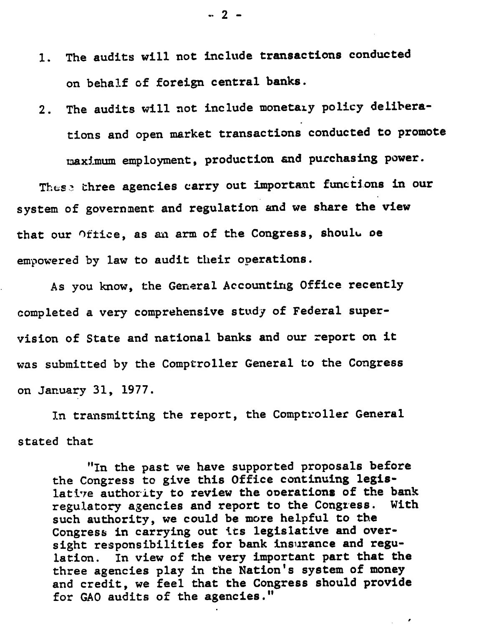- 1. The audits will not include transactions conducted on behalf of foreign central banks.
- 2. The audits will not include monetary policy deliberations and open market transactions conducted to promote maximum employment, production and purchasing power.

These three agencies carry out important functions in our system of government and regulation and we share the view that our Office, as an arm of the Congress, should be empowered by law to audit their operations.

As you know, the General Accounting Office recently completed a very comprehensive study of Federal supervision of State and national banks and our report on it was submitted by the Comptroller General to the Congress on January 31, 1977.

In transmitting the report, the Comptroller General stated that

"In the past we have supported proposals before the Congress to give this Office continuing legislative authority to review the operations of the bank regulatory agencies and report to the Congress. With such authority, we could be more helpful to the Congress in carrying out its legislative and oversight responsibilities for bank insurance and regulation. In view of the very important part that the three agencies play in the Nation's system of money and credit, we feel that the Congress should provide for GAO audits of the agencies."

 $\Delta \phi = 0.5$ 

**2 -**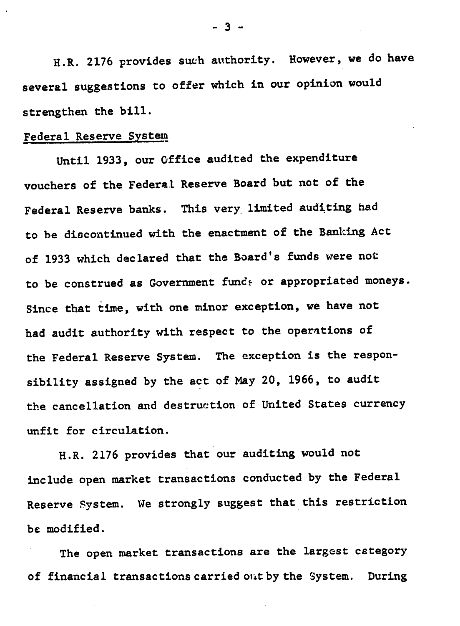H.R. 2176 provides such authority. However, we do have several suggestions to offer which in our opinion would strengthen the bill.

### Federal Reserve System

Until 1933, our Office audited the expenditure vouchers of the Federal Reserve Board but not of the Federal Reserve banks. This very limited auditing had to be discontinued with the enactment of the Banking Act of 1933 which declared that the Board's funds were not to be construed as Government funds or appropriated moneys. Since that time, with one minor exception, we have not had audit authority with respect to the operations of the Federal Reserve System. The exception is the responsibility assigned by the act of May 20, 1966, to audit the cancellation and destruction of United States currency unfit for circulation.

H.R. 2176 provides that our auditing would not include open market transactions conducted by the Federal Reserve System. We strongly suggest that this restriction be modified.

The open market transactions are the largest category of financial transactions carried out by the System. During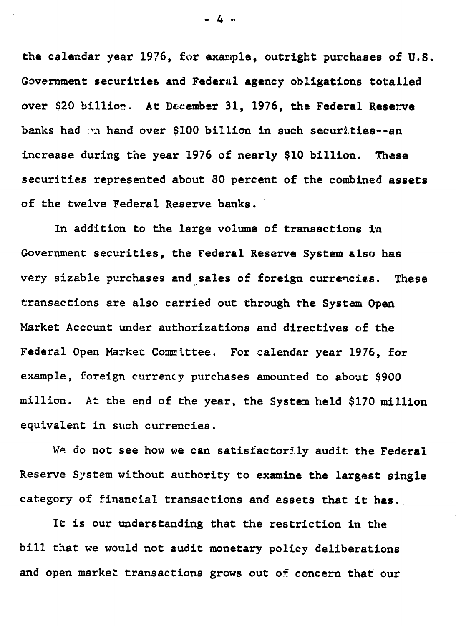the calendar year 1976, for example, outright purchases of U.S. Government securities and Federal agency obligations totalled over \$20 billion. At December 31, 1976, the Federal Resenve banks had "n hand over \$100 billion in such securities--an increase during the year 1976 of nearly \$10 billion. These securities represented about 80 percent of the combined assets of the twelve Federal Reserve banks.

In addition to the large volume of transactions in Government securities, the Federal Reserve System also has very sizable purchases and sales of foreign currencies. These transactions are also carried out through the System Open Market Account under authorizations and directives of the Federal Open Market Committee. For calendar year 1976, for example, foreign currency purchases amounted to about \$900 million. At the end of the year, the System held \$170 million equivalent in such currencies.

We do not see how we can satisfactorily audit the Federal Reserve System without authority to examine the largest single category of financial transactions and assets that it has.

It is our understanding that the restriction in the bill that we would not audit monetary policy deliberations and open market transactions grows out of concern that our

-4 ..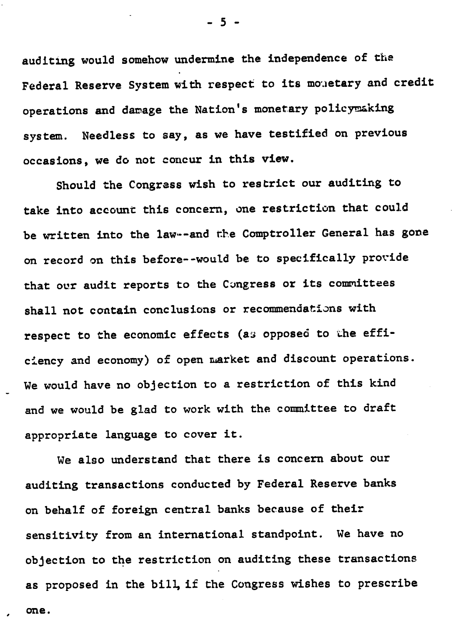auditing would somehow undermine the independence of the Federal Reserve System with respect to its monetary and credit operations and damage the Nation's monetary policymaking system. Needless to say, as we have testified on previous occasions, we do not concur in this view.

Should the Congress wish to restrict our auditing to take into account this concern, one restriction that could be written into the law--and the Comptroller General has gone on record on this before--would be to specifically provide that our audit reports to the Congress or its committees shall not contain conclusions or recommendations with respect to the economic effects (as opposed to the efficiency and economy) of open market and discount operations. We would have no objection to a restriction of this kind and we would be glad to work with the committee to draft appropriate language to cover it.

We also understand that there is concern about our auditing transactions conducted by Federal Reserve banks on behalf of foreign central banks because of their sensitivity from an international standpoint. We have no objection to the restriction on auditing these transactions as proposed in the bill, if the Congress wishes to prescribe one.

**- 5 -**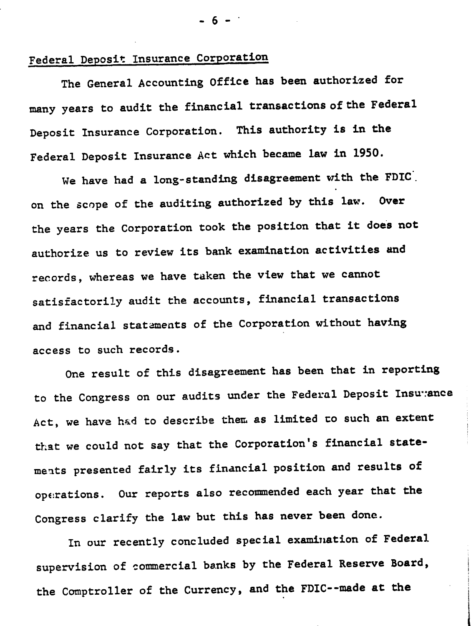# Federal Deposit Insurance Corporation

The General Accounting Office has been authorized for many years to audit the financial transactions of the Federal Deposit Insurance Corporation. This authority is in the Federal Deposit Insurance Act which became law in 1950.

We have had a long-standing disagreement with the FDIC. on the scope of the auditing authorized by this law. Over the years the Corporation took the position that it does not authorize us to review its bank examination activities and records, whereas we have taken the view that we cannot satisfactorily audit the accounts, financial transactions and financial statements of the Corporation without having access to such records.

One result of this disagreement has been that in reporting to the Congress on our audits under the Federal Deposit Insu:ance Act, we have had to describe them as limited co such an extent that we could not say that the Corporation's financial statemeats presented fairly its financial position and results of operations. Our reports also recommended each year that the Congress clarify the law but this has never been done.

In our recently concluded special examination of Federal supervision of commercial banks by the Federal Reserve Board, the Comptroller of the Currency, and the FDIC--made at the

**- 6 -**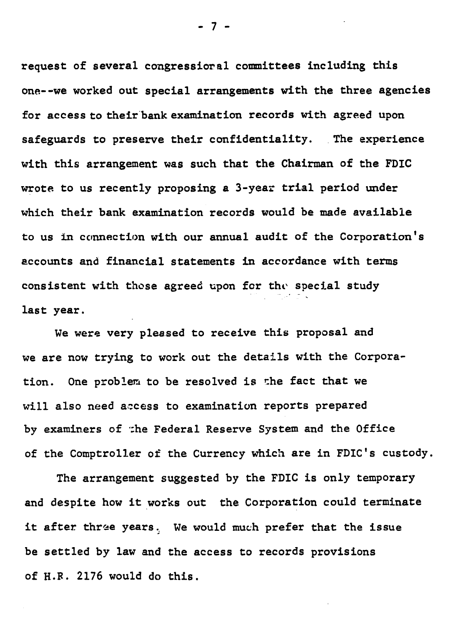request of several congressioral committees including this one--we worked out special arrangements with the three agencies for access to their'bank examination records with agreed upon safeguards to preserve their confidentiality. The experience with this arrangement was such that the Chairman of the FDIC wrote to us recently proposing a 3-year trial period under which their bank examination records would be made available to us in connection with our annual audit of the Corporation's accounts and financial statements in accordance with terms consistent with those agreed upon for the special study last year.

We were very pleased to receive this proposal and we are now trying to work out the details with the Corporation. One problem to be resolved is the fact that we will also need access to examination reports prepared by examiners of :he Federal Reserve System and the Office of the Comptroller of the Currency which are in FDIC's custody.

The arrangement suggested by the FDIC is only temporary and despite how it works out the Corporation could terminate it after three years. We would much prefer that the issue be settled by law and the access to records provisions of H.R. 2176 would do this.

- 7 **-**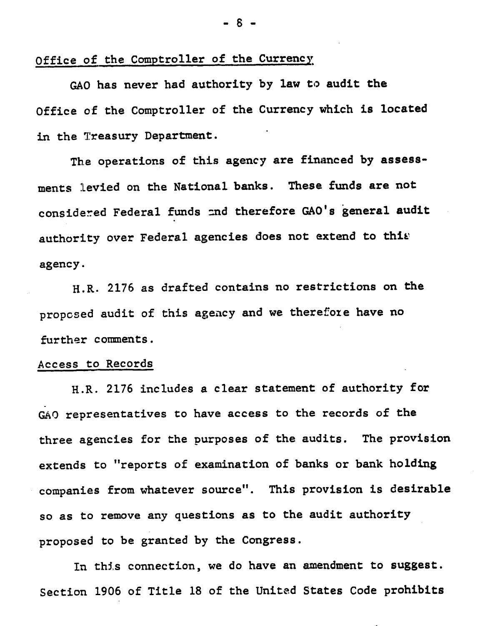#### Office of the Comptroller of the Currency

GAO has never had authority by law to audit the Office of the Comptroller of the Currency which is located in the Treasury Department.

The operations of this agency are financed by assessments levied on the National banks. These funds are not considered Federal funds and therefore GAO's general audit authority over Federal agencies does not extend to this agency.

H.R. 2176 as drafted contains no restrictions on the proposed audit of this ageacy and we therefore have no further comments.

#### Access to Records

H.R. 2176 includes a clear statement of authority for GAO representatives to have access to the records of the three agencies for the purposes of the audits. The provision extends to "reports of examination of banks or bank holding companies from whatever source". This provision is desirable so as to remove any questions as to the audit authority proposed to be granted by the Congress.

In this connection, we do have an amendment to suggest. Section 1906 of Title 18 of the United States Code prohibits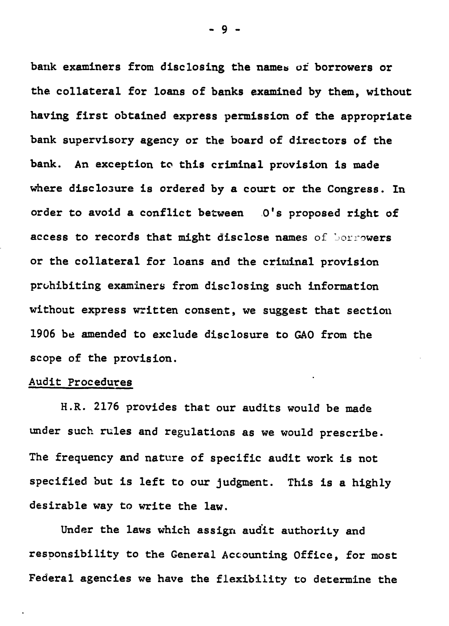bank examiners from disclosing the names of borrowers or the collateral for loans of banks examined by them, without having first obtained express permission of the appropriate bank supervisory agency or the board of directors of the bank. An exception to this criminal provision is made where disclosure is ordered by a court or the Congress. In order to avoid a conflict between 0's proposed right of access to records that might disclose names of Sonrowers or the collateral for loans and the criminal provision prohibiting examiners from disclosing such information without express written consent, we suggest that section 1906 be amended to exclude disclosure to GAO from the scope of the provision.

#### Audit Procedures

H.R. 2176 provides that our audits would be made under such rules and regulations as we would prescribe. The frequency and nature of specific audit work is not specified but is left to our judgment. This is a highly desirable way to write the law.

Under the laws which assign audit authority and responsibility to the General Accounting Office, for most Federal agencies we have the flexibility to determine the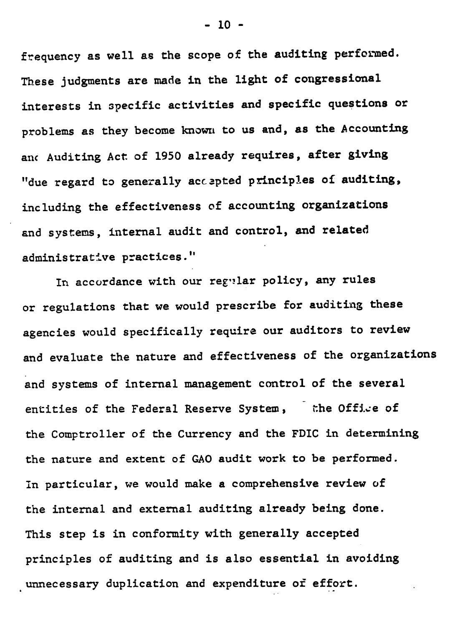frequency as well as the scope of the auditing performed. These judgments are made in the light of congressional interests in specific activities and specific questions or problems as they become known to us and, as the Accounting anc Auditing Act of 1950 already requires, after giving "due regard to generally accepted principles of auditing, including the effectiveness of accounting organizations and systems, internal audit and control, and related administrative practices."

In accordance with our regular policy, any rules or regulations that we would prescribe for auditing these agencies would specifically require our auditors to review and evaluate the nature and effectiveness of the organizations and systems of internal management control of the several entities of the Federal Reserve System, the Office of the Comptroller of the Currency and the FDIC in determining the nature and extent of GAO audit work to be performed. In particular, we would make a comprehensive review of the internal and external auditing already being done. This step is in conformity with generally accepted principles of auditing and is also essential in avoiding unnecessary duplication and expenditure of effort.

 $- 10 -$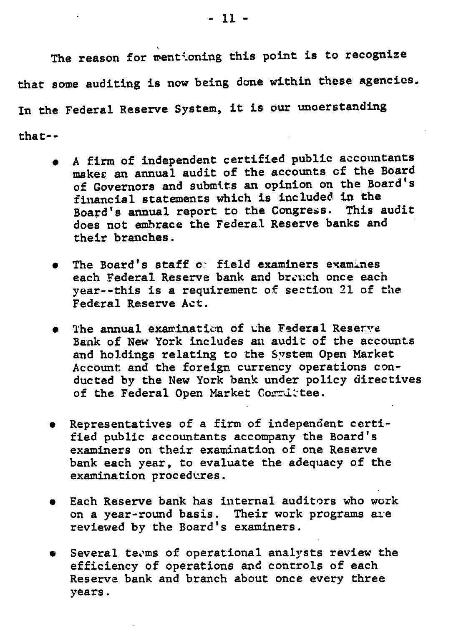The reason for wentioning this point is to recognize that some auditing is now being done within these agencies. In the Federal Reserve System, it is our unoerstanding that--

- A firm of independent certified public accountants makes an annual audit of the accounts of the Board of Governors and submits an opinion on the Board's financial statements which is included in the<br>Roard's annual report to the Congress. This audit Board's annual report to the Congress. does not embrace the Federal Reserve banks and their branches.
- The Board's staff of field examiners examines each Federal Reserve bank and brench once each year--this is a requirement of section 21 of the Federal Reserve Act.
- The annual examination of the Federal Reserve Bank of New York includes an audit of the accounts and holdings relating to the System Open Market Account and the foreign currency operations conducted by the New York bank under policy directives of the Federal Open Market Committee.
- Representatives of a firm of independent certified public accountants accompany the Board's examiners on their examination of one Reserve bank each year, to evaluate the adequacy of the examination procedures.
- Each Reserve bank has internal auditors who work on a year-round basis. Their work programs are reviewed by the Board's examiners.
- $\bullet$  Several teems of operational analysts review the efficiency of operations and controls of each Reserve bank and branch about once every three years.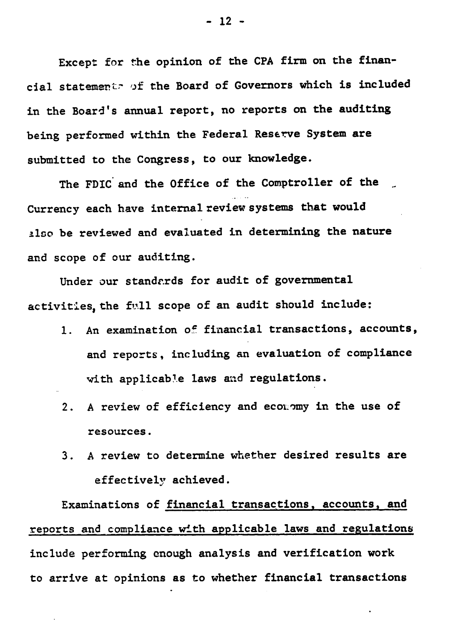Except for the opinion of the CPA firm on the financial statements of the Board of Governors which is included in the Board's annual report, no reports on the auditing being performed within the Federal Reserve System are submitted to the Congress, to our knowledge.

The FDIC and the Office of the Comptroller of the Currency each have internal review systems that would also be reviewed and evaluated in determining the nature and scope of our auditing.

Under our standards for audit of governmental activities, the full scope of an audit should include:

- 1. An examination of financial transactions, accounts, and reports, including an evaluation of compliance with applicable laws and regulations.
- 2. A review of efficiency and economy in the use of resources.
- 3. A review to determine whether desired results are effectively achieved.

Examinations of financial transactions, accounts, and reports and compliance with applicable laws and regulations include performing enough analysis and verification work to arrive at opinions as to whether financial transactions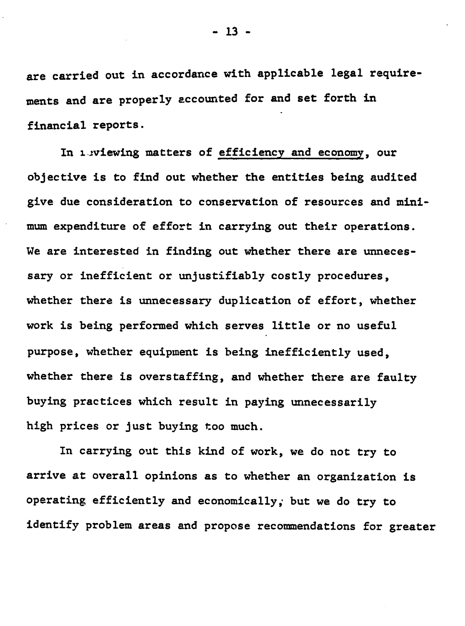are carried out in accordance with applicable legal requirements and are properly accounted for and set forth in financial reports.

In isviewing matters of efficiency and economy, our objective is to find out whether the entities being audited give due consideration to conservation of resources and minimum expenditure of effort in carrying out their operations. We are interested in finding out whether there are unnecessary or inefficient or unjustifiably costly procedures, whether there is unnecessary duplication of effort, whether work is being performed which serves little or no useful purpose, whether equipment is being inefficiently used, whether there is overstaffing, and whether there are faulty buying practices which result in paying unnecessarily high prices or just buying too much.

In carrying out this kind of work, we do not try to arrive at overall opinions as to whether an organization is operating efficiently and economically; but we do try to identify problem areas and propose recommendations for greater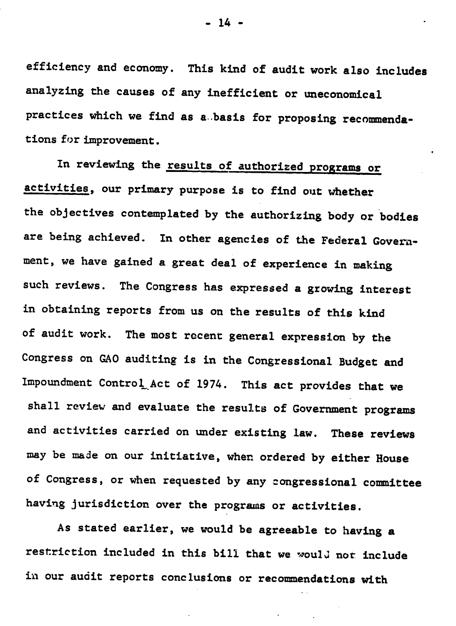efficiency and economy. This kind of audit work also includes analyzing the causes of any inefficient or uneconomical practices which we find as a.basis for proposing recommendations for improvement.

In reviewing the results of authorized programs or activities, our primary purpose is to find out whether the objectives contemplated by the authorizing body or bodies are being achieved. In other agencies of the Federal Government, we have gained a great deal of experience in making such reviews. The Congress has expressed a growing interest in obtaining reports from us on the results of this kind of audit work. The most recent general expression by the Congress on GAO auditing is in the Congressional Budget and Impoundment Control Act of 1974. This act provides that we shall review and evaluate the results of Government programs and activities carried on under existing law. These reviews may be made on our initiative, when ordered by either House of Congress, or when requested by any congressional committee having jurisdiction over the programs or activities.

As stated earlier, we would be agreeable to having a restriction included in this bill that we would not include in our audit reports conclusions or recommendations with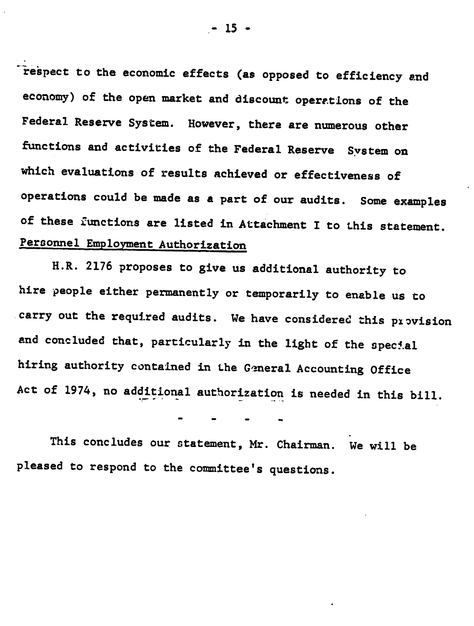respect to the economic effects (as opposed to efficiency and economy) of the open market and discount operations of the Federal Reserve System. However, there are numerous other functions and activities of the Federal Reserve System on which evaluations of results achieved or effectiveness of operations could be made as a part of our audits. Some examples of these functions are listed in Attachment I to this statement. Personnel Employment Authorization

H.R. 2176 proposes to give us additional authority to hire people either permanently or temporarily to enable us to carry out the required audits. We have considered this provision and concluded that, particularly in the light of the special hiring authority contained in the General Accounting Office Act of 1974, no additional authorization is needed in this bill.

This concludes our statement, Mr. Chairman. We will be pleased to respond to the committee's questions.